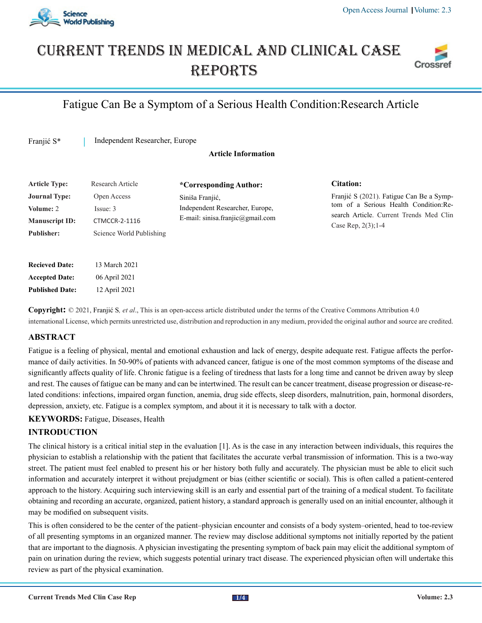

# Current trends in medical and Clinical case **REPORTS**



# Fatigue Can Be a Symptom of a Serious Health Condition:Research Article

Franjić S<sup>\*</sup> Independent Researcher, Europe

**Article Information**

| <b>Article Type:</b>  | Research Article         | *Corresponding Author:                                                                 | <b>Citation:</b>                                                                                                                                     |
|-----------------------|--------------------------|----------------------------------------------------------------------------------------|------------------------------------------------------------------------------------------------------------------------------------------------------|
| <b>Journal Type:</b>  | Open Access              | Siniša Franjić,<br>Independent Researcher, Europe,<br>E-mail: sinisa.franjic@gmail.com | Franjić S (2021). Fatigue Can Be a Symp<br>tom of a Serious Health Condition:Re<br>search Article. Current Trends Med Clin<br>Case Rep. $2(3)$ ; 1-4 |
| <b>Volume: 2</b>      | Issue: 3                 |                                                                                        |                                                                                                                                                      |
| <b>Manuscript ID:</b> | CTMCCR-2-1116            |                                                                                        |                                                                                                                                                      |
| <b>Publisher:</b>     | Science World Publishing |                                                                                        |                                                                                                                                                      |
|                       |                          |                                                                                        |                                                                                                                                                      |
|                       |                          |                                                                                        |                                                                                                                                                      |

**Recieved Date:** 13 March 2021 **Accepted Date:** 06 April 2021 **Published Date:** 12 April 2021

**Copyright:** © 2021, Franjić S*, et al*., This is an open-access article distributed under the terms of the Creative Commons Attribution 4.0 international License, which permits unrestricted use, distribution and reproduction in any medium, provided the original author and source are credited.

# **ABSTRACT**

Fatigue is a feeling of physical, mental and emotional exhaustion and lack of energy, despite adequate rest. Fatigue affects the performance of daily activities. In 50-90% of patients with advanced cancer, fatigue is one of the most common symptoms of the disease and significantly affects quality of life. Chronic fatigue is a feeling of tiredness that lasts for a long time and cannot be driven away by sleep and rest. The causes of fatigue can be many and can be intertwined. The result can be cancer treatment, disease progression or disease-related conditions: infections, impaired organ function, anemia, drug side effects, sleep disorders, malnutrition, pain, hormonal disorders, depression, anxiety, etc. Fatigue is a complex symptom, and about it it is necessary to talk with a doctor.

# **KEYWORDS:** Fatigue, Diseases, Health

# **INTRODUCTION**

The clinical history is a critical initial step in the evaluation [1]. As is the case in any interaction between individuals, this requires the physician to establish a relationship with the patient that facilitates the accurate verbal transmission of information. This is a two-way street. The patient must feel enabled to present his or her history both fully and accurately. The physician must be able to elicit such information and accurately interpret it without prejudgment or bias (either scientific or social). This is often called a patient-centered approach to the history. Acquiring such interviewing skill is an early and essential part of the training of a medical student. To facilitate obtaining and recording an accurate, organized, patient history, a standard approach is generally used on an initial encounter, although it may be modified on subsequent visits.

This is often considered to be the center of the patient–physician encounter and consists of a body system–oriented, head to toe-review of all presenting symptoms in an organized manner. The review may disclose additional symptoms not initially reported by the patient that are important to the diagnosis. A physician investigating the presenting symptom of back pain may elicit the additional symptom of pain on urination during the review, which suggests potential urinary tract disease. The experienced physician often will undertake this review as part of the physical examination.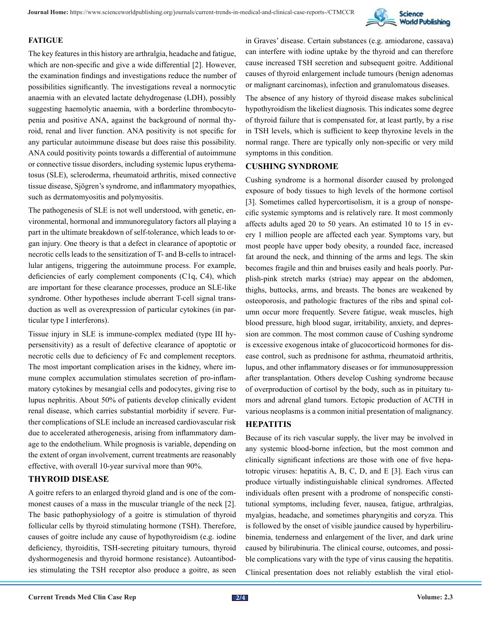

#### **FATIGUE**

The key features in this history are arthralgia, headache and fatigue, which are non-specific and give a wide differential [2]. However, the examination findings and investigations reduce the number of possibilities significantly. The investigations reveal a normocytic anaemia with an elevated lactate dehydrogenase (LDH), possibly suggesting haemolytic anaemia, with a borderline thrombocytopenia and positive ANA, against the background of normal thyroid, renal and liver function. ANA positivity is not specific for any particular autoimmune disease but does raise this possibility. ANA could positivity points towards a differential of autoimmune or connective tissue disorders, including systemic lupus erythematosus (SLE), scleroderma, rheumatoid arthritis, mixed connective tissue disease, Sjögren's syndrome, and inflammatory myopathies, such as dermatomyositis and polymyositis.

The pathogenesis of SLE is not well understood, with genetic, environmental, hormonal and immunoregulatory factors all playing a part in the ultimate breakdown of self-tolerance, which leads to organ injury. One theory is that a defect in clearance of apoptotic or necrotic cells leads to the sensitization of T- and B-cells to intracellular antigens, triggering the autoimmune process. For example, deficiencies of early complement components (C1q, C4), which are important for these clearance processes, produce an SLE-like syndrome. Other hypotheses include aberrant T-cell signal transduction as well as overexpression of particular cytokines (in particular type I interferons).

Tissue injury in SLE is immune-complex mediated (type III hypersensitivity) as a result of defective clearance of apoptotic or necrotic cells due to deficiency of Fc and complement receptors. The most important complication arises in the kidney, where immune complex accumulation stimulates secretion of pro-inflammatory cytokines by mesangial cells and podocytes, giving rise to lupus nephritis. About 50% of patients develop clinically evident renal disease, which carries substantial morbidity if severe. Further complications of SLE include an increased cardiovascular risk due to accelerated atherogenesis, arising from inflammatory damage to the endothelium. While prognosis is variable, depending on the extent of organ involvement, current treatments are reasonably effective, with overall 10-year survival more than 90%.

#### **THYROID DISEASE**

A goitre refers to an enlarged thyroid gland and is one of the commonest causes of a mass in the muscular triangle of the neck [2]. The basic pathophysiology of a goitre is stimulation of thyroid follicular cells by thyroid stimulating hormone (TSH). Therefore, causes of goitre include any cause of hypothyroidism (e.g. iodine deficiency, thyroiditis, TSH-secreting pituitary tumours, thyroid dyshormogenesis and thyroid hormone resistance). Autoantibodies stimulating the TSH receptor also produce a goitre, as seen

in Graves' disease. Certain substances (e.g. amiodarone, cassava) can interfere with iodine uptake by the thyroid and can therefore cause increased TSH secretion and subsequent goitre. Additional causes of thyroid enlargement include tumours (benign adenomas or malignant carcinomas), infection and granulomatous diseases.

The absence of any history of thyroid disease makes subclinical hypothyroidism the likeliest diagnosis. This indicates some degree of thyroid failure that is compensated for, at least partly, by a rise in TSH levels, which is sufficient to keep thyroxine levels in the normal range. There are typically only non-specific or very mild symptoms in this condition.

#### **CUSHING SYNDROME**

Cushing syndrome is a hormonal disorder caused by prolonged exposure of body tissues to high levels of the hormone cortisol [3]. Sometimes called hypercortisolism, it is a group of nonspecific systemic symptoms and is relatively rare. It most commonly affects adults aged 20 to 50 years. An estimated 10 to 15 in every 1 million people are affected each year. Symptoms vary, but most people have upper body obesity, a rounded face, increased fat around the neck, and thinning of the arms and legs. The skin becomes fragile and thin and bruises easily and heals poorly. Purplish-pink stretch marks (striae) may appear on the abdomen, thighs, buttocks, arms, and breasts. The bones are weakened by osteoporosis, and pathologic fractures of the ribs and spinal column occur more frequently. Severe fatigue, weak muscles, high blood pressure, high blood sugar, irritability, anxiety, and depression are common. The most common cause of Cushing syndrome is excessive exogenous intake of glucocorticoid hormones for disease control, such as prednisone for asthma, rheumatoid arthritis, lupus, and other inflammatory diseases or for immunosuppression after transplantation. Others develop Cushing syndrome because of overproduction of cortisol by the body, such as in pituitary tumors and adrenal gland tumors. Ectopic production of ACTH in various neoplasms is a common initial presentation of malignancy.

# **HEPATITIS**

Because of its rich vascular supply, the liver may be involved in any systemic blood-borne infection, but the most common and clinically significant infections are those with one of five hepatotropic viruses: hepatitis A, B, C, D, and E [3]. Each virus can produce virtually indistinguishable clinical syndromes. Affected individuals often present with a prodrome of nonspecific constitutional symptoms, including fever, nausea, fatigue, arthralgias, myalgias, headache, and sometimes pharyngitis and coryza. This is followed by the onset of visible jaundice caused by hyperbilirubinemia, tenderness and enlargement of the liver, and dark urine caused by bilirubinuria. The clinical course, outcomes, and possible complications vary with the type of virus causing the hepatitis.

Clinical presentation does not reliably establish the viral etiol-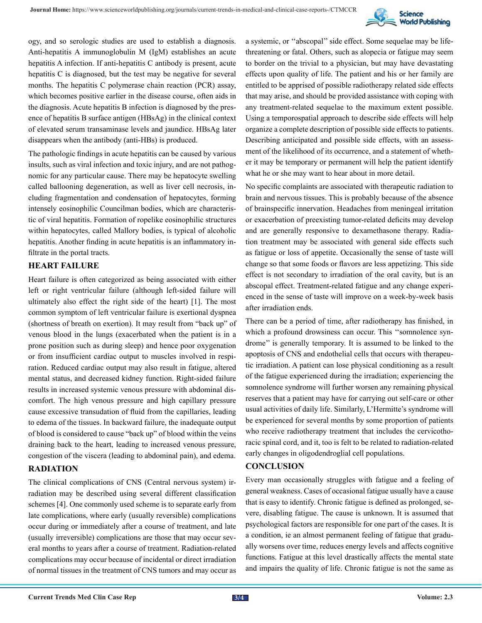

ogy, and so serologic studies are used to establish a diagnosis. Anti-hepatitis A immunoglobulin M (IgM) establishes an acute hepatitis A infection. If anti-hepatitis C antibody is present, acute hepatitis C is diagnosed, but the test may be negative for several months. The hepatitis C polymerase chain reaction (PCR) assay, which becomes positive earlier in the disease course, often aids in the diagnosis. Acute hepatitis B infection is diagnosed by the presence of hepatitis B surface antigen (HBsAg) in the clinical context of elevated serum transaminase levels and jaundice. HBsAg later disappears when the antibody (anti-HBs) is produced.

The pathologic findings in acute hepatitis can be caused by various insults, such as viral infection and toxic injury, and are not pathognomic for any particular cause. There may be hepatocyte swelling called ballooning degeneration, as well as liver cell necrosis, including fragmentation and condensation of hepatocytes, forming intensely eosinophilic Councilman bodies, which are characteristic of viral hepatitis. Formation of ropelike eosinophilic structures within hepatocytes, called Mallory bodies, is typical of alcoholic hepatitis. Another finding in acute hepatitis is an inflammatory infiltrate in the portal tracts.

#### **HEART FAILURE**

Heart failure is often categorized as being associated with either left or right ventricular failure (although left-sided failure will ultimately also effect the right side of the heart) [1]. The most common symptom of left ventricular failure is exertional dyspnea (shortness of breath on exertion). It may result from "back up" of venous blood in the lungs (exacerbated when the patient is in a prone position such as during sleep) and hence poor oxygenation or from insufficient cardiac output to muscles involved in respiration. Reduced cardiac output may also result in fatigue, altered mental status, and decreased kidney function. Right-sided failure results in increased systemic venous pressure with abdominal discomfort. The high venous pressure and high capillary pressure cause excessive transudation of fluid from the capillaries, leading to edema of the tissues. In backward failure, the inadequate output of blood is considered to cause "back up" of blood within the veins draining back to the heart, leading to increased venous pressure, congestion of the viscera (leading to abdominal pain), and edema.

# **RADIATION**

The clinical complications of CNS (Central nervous system) irradiation may be described using several different classification schemes [4]. One commonly used scheme is to separate early from late complications, where early (usually reversible) complications occur during or immediately after a course of treatment, and late (usually irreversible) complications are those that may occur several months to years after a course of treatment. Radiation-related complications may occur because of incidental or direct irradiation of normal tissues in the treatment of CNS tumors and may occur as a systemic, or ''abscopal'' side effect. Some sequelae may be lifethreatening or fatal. Others, such as alopecia or fatigue may seem to border on the trivial to a physician, but may have devastating effects upon quality of life. The patient and his or her family are entitled to be apprised of possible radiotherapy related side effects that may arise, and should be provided assistance with coping with any treatment-related sequelae to the maximum extent possible. Using a temporospatial approach to describe side effects will help organize a complete description of possible side effects to patients. Describing anticipated and possible side effects, with an assessment of the likelihood of its occurrence, and a statement of whether it may be temporary or permanent will help the patient identify what he or she may want to hear about in more detail.

No specific complaints are associated with therapeutic radiation to brain and nervous tissues. This is probably because of the absence of brainspecific innervation. Headaches from meningeal irritation or exacerbation of preexisting tumor-related deficits may develop and are generally responsive to dexamethasone therapy. Radiation treatment may be associated with general side effects such as fatigue or loss of appetite. Occasionally the sense of taste will change so that some foods or flavors are less appetizing. This side effect is not secondary to irradiation of the oral cavity, but is an abscopal effect. Treatment-related fatigue and any change experienced in the sense of taste will improve on a week-by-week basis after irradiation ends.

There can be a period of time, after radiotherapy has finished, in which a profound drowsiness can occur. This "somnolence syndrome'' is generally temporary. It is assumed to be linked to the apoptosis of CNS and endothelial cells that occurs with therapeutic irradiation. A patient can lose physical conditioning as a result of the fatigue experienced during the irradiation; experiencing the somnolence syndrome will further worsen any remaining physical reserves that a patient may have for carrying out self-care or other usual activities of daily life. Similarly, L'Hermitte's syndrome will be experienced for several months by some proportion of patients who receive radiotherapy treatment that includes the cervicothoracic spinal cord, and it, too is felt to be related to radiation-related early changes in oligodendroglial cell populations.

# **CONCLUSION**

Every man occasionally struggles with fatigue and a feeling of general weakness. Cases of occasional fatigue usually have a cause that is easy to identify. Chronic fatigue is defined as prolonged, severe, disabling fatigue. The cause is unknown. It is assumed that psychological factors are responsible for one part of the cases. It is a condition, ie an almost permanent feeling of fatigue that gradually worsens over time, reduces energy levels and affects cognitive functions. Fatigue at this level drastically affects the mental state and impairs the quality of life. Chronic fatigue is not the same as